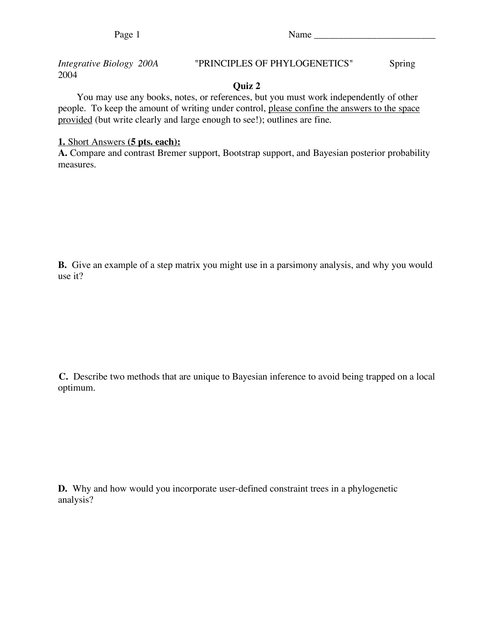*Integrative Biology 200A* "PRINCIPLES OF PHYLOGENETICS" Spring 2004

## **Quiz 2**

You may use any books, notes, or references, but you must work independently of other people. To keep the amount of writing under control, please confine the answers to the space provided (but write clearly and large enough to see!); outlines are fine.

## **1.** Short Answers **(5 pts. each):**

**A.** Compare and contrast Bremer support, Bootstrap support, and Bayesian posterior probability measures.

**B.** Give an example of a step matrix you might use in a parsimony analysis, and why you would use it?

**C.** Describe two methods that are unique to Bayesian inference to avoid being trapped on a local optimum.

**D.** Why and how would you incorporate user-defined constraint trees in a phylogenetic analysis?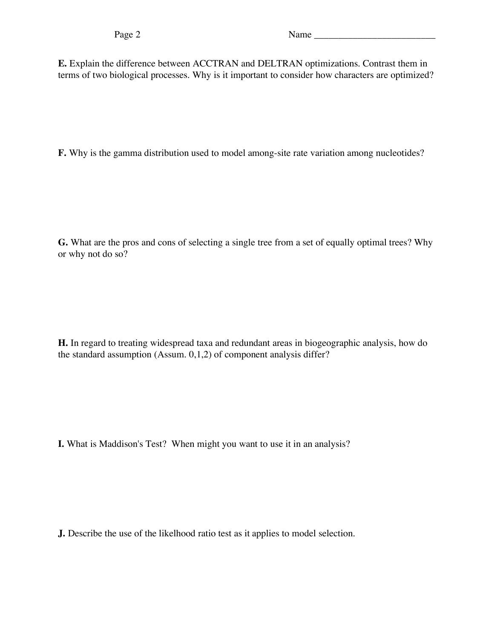**E.** Explain the difference between ACCTRAN and DELTRAN optimizations. Contrast them in terms of two biological processes. Why is it important to consider how characters are optimized?

**F.** Why is the gamma distribution used to model among-site rate variation among nucleotides?

**G.** What are the pros and cons of selecting a single tree from a set of equally optimal trees? Why or why not do so?

**H.** In regard to treating widespread taxa and redundant areas in biogeographic analysis, how do the standard assumption (Assum. 0,1,2) of component analysis differ?

**I.** What is Maddison's Test? When might you want to use it in an analysis?

**J.** Describe the use of the likelhood ratio test as it applies to model selection.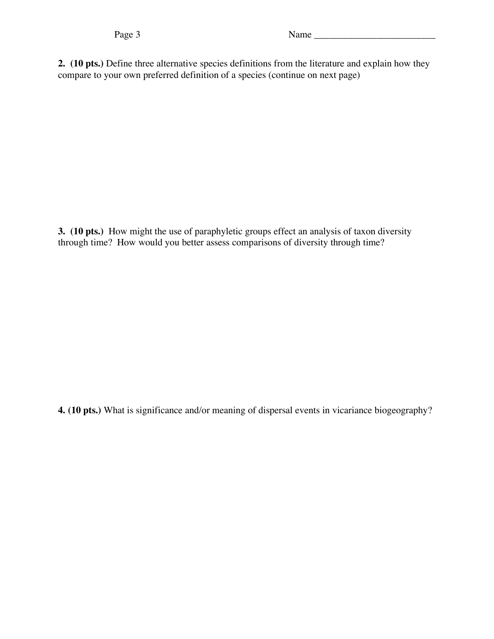**2. (10 pts.)** Define three alternative species definitions from the literature and explain how they compare to your own preferred definition of a species (continue on next page)

**3. (10 pts.)** How might the use of paraphyletic groups effect an analysis of taxon diversity through time? How would you better assess comparisons of diversity through time?

**4. (10 pts.)** What is significance and/or meaning of dispersal events in vicariance biogeography?